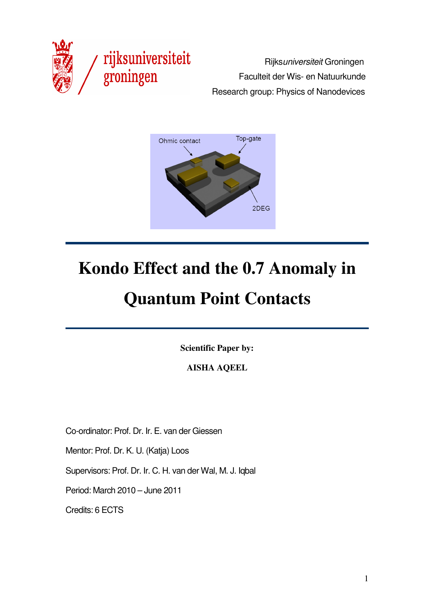

**rijksuniversiteit**<br>**groningen** Faculteit der Wis- en Natuurkunde Faculteit der Wis- en Natuurkunde Research group: Physics of Nanodevices



# **Kondo Effect and the 0.7 Anomaly in**

# **Quantum Point Contacts**

**Scientific Paper by:** 

**AISHA AQEEL** 

Co-ordinator: Prof. Dr. Ir. E. van der Giessen

Mentor: Prof. Dr. K. U. (Katja) Loos

Supervisors: Prof. Dr. Ir. C. H. van der Wal, M. J. Iqbal

Period: March 2010 – June 2011

Credits: 6 ECTS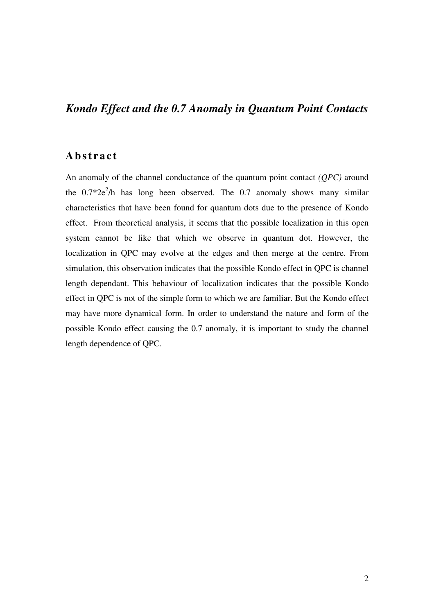# *Kondo Effect and the 0.7 Anomaly in Quantum Point Contacts*

### **A b s t ra c t**

An anomaly of the channel conductance of the quantum point contact *(QPC)* around the  $0.7*2e^2/h$  has long been observed. The 0.7 anomaly shows many similar characteristics that have been found for quantum dots due to the presence of Kondo effect. From theoretical analysis, it seems that the possible localization in this open system cannot be like that which we observe in quantum dot. However, the localization in QPC may evolve at the edges and then merge at the centre. From simulation, this observation indicates that the possible Kondo effect in QPC is channel length dependant. This behaviour of localization indicates that the possible Kondo effect in QPC is not of the simple form to which we are familiar. But the Kondo effect may have more dynamical form. In order to understand the nature and form of the possible Kondo effect causing the 0.7 anomaly, it is important to study the channel length dependence of QPC.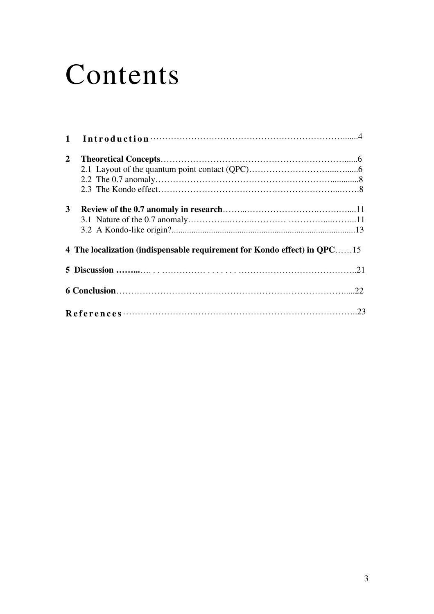# Contents

| $\mathbf{1}$                                                             |  |
|--------------------------------------------------------------------------|--|
| 2                                                                        |  |
| 3                                                                        |  |
| 4 The localization (indispensable requirement for Kondo effect) in QPC15 |  |
|                                                                          |  |
|                                                                          |  |
| References<br>.23                                                        |  |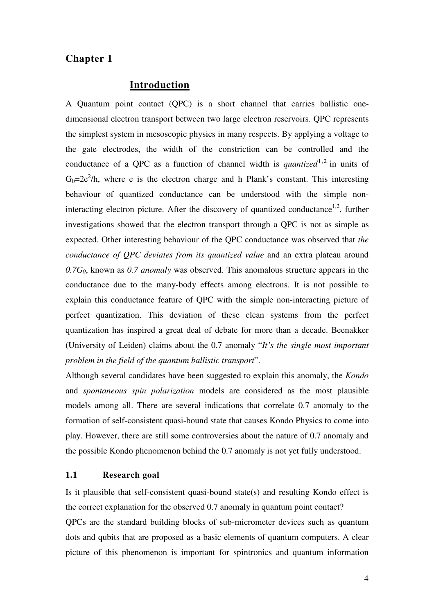#### **Introduction**

A Quantum point contact (QPC) is a short channel that carries ballistic onedimensional electron transport between two large electron reservoirs. QPC represents the simplest system in mesoscopic physics in many respects. By applying a voltage to the gate electrodes, the width of the constriction can be controlled and the conductance of a OPC as a function of channel width is *quantized*<sup>1,2</sup> in units of  $G_0=2e^2/h$ , where e is the electron charge and h Plank's constant. This interesting behaviour of quantized conductance can be understood with the simple noninteracting electron picture. After the discovery of quantized conductance<sup>1,2</sup>, further investigations showed that the electron transport through a QPC is not as simple as expected. Other interesting behaviour of the QPC conductance was observed that *the conductance of QPC deviates from its quantized value* and an extra plateau around *0.7G0*, known as *0.7 anomaly* was observed. This anomalous structure appears in the conductance due to the many-body effects among electrons. It is not possible to explain this conductance feature of QPC with the simple non-interacting picture of perfect quantization. This deviation of these clean systems from the perfect quantization has inspired a great deal of debate for more than a decade. Beenakker (University of Leiden) claims about the 0.7 anomaly "*It's the single most important problem in the field of the quantum ballistic transport*".

Although several candidates have been suggested to explain this anomaly, the *Kondo* and *spontaneous spin polarization* models are considered as the most plausible models among all. There are several indications that correlate 0.7 anomaly to the formation of self-consistent quasi-bound state that causes Kondo Physics to come into play. However, there are still some controversies about the nature of 0.7 anomaly and the possible Kondo phenomenon behind the 0.7 anomaly is not yet fully understood.

#### **1.1 Research goal**

Is it plausible that self-consistent quasi-bound state(s) and resulting Kondo effect is the correct explanation for the observed 0.7 anomaly in quantum point contact?

QPCs are the standard building blocks of sub-micrometer devices such as quantum dots and qubits that are proposed as a basic elements of quantum computers. A clear picture of this phenomenon is important for spintronics and quantum information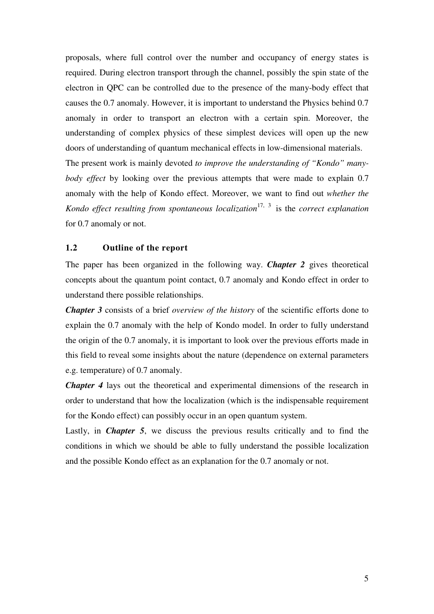proposals, where full control over the number and occupancy of energy states is required. During electron transport through the channel, possibly the spin state of the electron in QPC can be controlled due to the presence of the many-body effect that causes the 0.7 anomaly. However, it is important to understand the Physics behind 0.7 anomaly in order to transport an electron with a certain spin. Moreover, the understanding of complex physics of these simplest devices will open up the new doors of understanding of quantum mechanical effects in low-dimensional materials. The present work is mainly devoted *to improve the understanding of "Kondo" manybody effect* by looking over the previous attempts that were made to explain 0.7 anomaly with the help of Kondo effect. Moreover, we want to find out *whether the Kondo effect resulting from spontaneous localization* 17, 3 is the *correct explanation* for 0.7 anomaly or not.

#### **1.2 Outline of the report**

The paper has been organized in the following way. *Chapter 2* gives theoretical concepts about the quantum point contact, 0.7 anomaly and Kondo effect in order to understand there possible relationships.

*Chapter 3* consists of a brief *overview of the history* of the scientific efforts done to explain the 0.7 anomaly with the help of Kondo model. In order to fully understand the origin of the 0.7 anomaly, it is important to look over the previous efforts made in this field to reveal some insights about the nature (dependence on external parameters e.g. temperature) of 0.7 anomaly.

*Chapter 4* lays out the theoretical and experimental dimensions of the research in order to understand that how the localization (which is the indispensable requirement for the Kondo effect) can possibly occur in an open quantum system.

Lastly, in *Chapter 5*, we discuss the previous results critically and to find the conditions in which we should be able to fully understand the possible localization and the possible Kondo effect as an explanation for the 0.7 anomaly or not.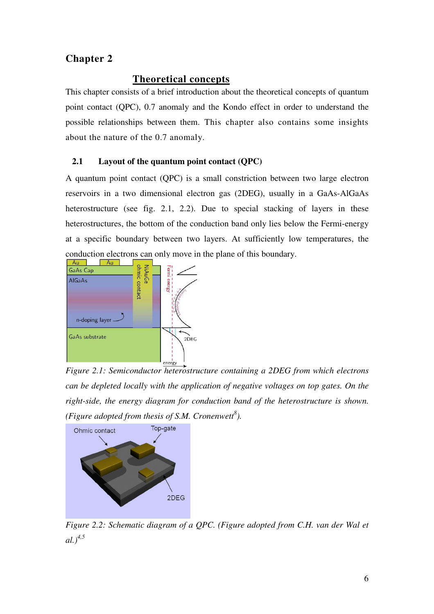#### **Theoretical concepts**

This chapter consists of a brief introduction about the theoretical concepts of quantum point contact (QPC), 0.7 anomaly and the Kondo effect in order to understand the possible relationships between them. This chapter also contains some insights about the nature of the 0.7 anomaly.

#### **2.1 Layout of the quantum point contact (QPC)**

A quantum point contact (QPC) is a small constriction between two large electron reservoirs in a two dimensional electron gas (2DEG), usually in a GaAs-AlGaAs heterostructure (see fig. 2.1, 2.2). Due to special stacking of layers in these heterostructures, the bottom of the conduction band only lies below the Fermi-energy at a specific boundary between two layers. At sufficiently low temperatures, the conduction electrons can only move in the plane of this boundary.



*Figure 2.1: Semiconductor heterostructure containing a 2DEG from which electrons can be depleted locally with the application of negative voltages on top gates. On the right-side, the energy diagram for conduction band of the heterostructure is shown. (Figure adopted from thesis of S.M. Cronenwett<sup>8</sup> ).* 



*Figure 2.2: Schematic diagram of a QPC. (Figure adopted from C.H. van der Wal et al.)4,5*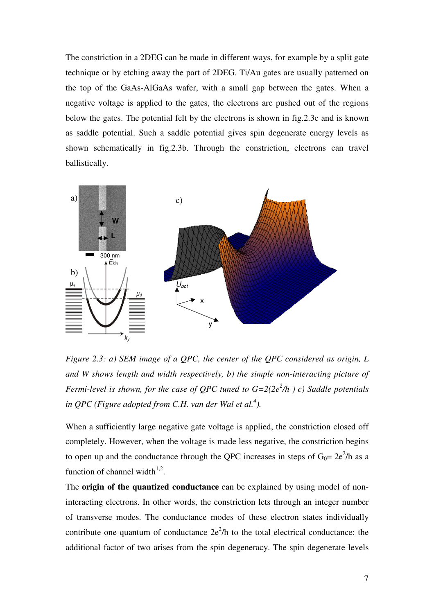The constriction in a 2DEG can be made in different ways, for example by a split gate technique or by etching away the part of 2DEG. Ti/Au gates are usually patterned on the top of the GaAs-AlGaAs wafer, with a small gap between the gates. When a negative voltage is applied to the gates, the electrons are pushed out of the regions below the gates. The potential felt by the electrons is shown in fig.2.3c and is known as saddle potential. Such a saddle potential gives spin degenerate energy levels as shown schematically in fig.2.3b. Through the constriction, electrons can travel ballistically.



*Figure 2.3: a) SEM image of a QPC, the center of the QPC considered as origin, L and W shows length and width respectively, b) the simple non-interacting picture of Fermi-level is shown, for the case of QPC tuned to G=2(2e<sup>2</sup> /h ) c) Saddle potentials in QPC (Figure adopted from C.H. van der Wal et al.<sup>4</sup> ).* 

When a sufficiently large negative gate voltage is applied, the constriction closed off completely. However, when the voltage is made less negative, the constriction begins to open up and the conductance through the QPC increases in steps of  $G_0 = 2e^2/h$  as a function of channel width $1,2$ .

The **origin of the quantized conductance** can be explained by using model of noninteracting electrons. In other words, the constriction lets through an integer number of transverse modes. The conductance modes of these electron states individually contribute one quantum of conductance  $2e^2/h$  to the total electrical conductance; the additional factor of two arises from the spin degeneracy. The spin degenerate levels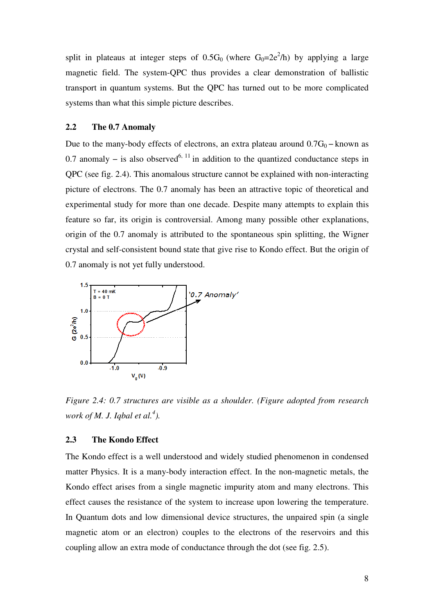split in plateaus at integer steps of  $0.5G_0$  (where  $G_0=2e^2/h$ ) by applying a large magnetic field. The system-QPC thus provides a clear demonstration of ballistic transport in quantum systems. But the QPC has turned out to be more complicated systems than what this simple picture describes.

#### **2.2 The 0.7 Anomaly**

Due to the many-body effects of electrons, an extra plateau around  $0.7G_0$  – known as 0.7 anomaly – is also observed<sup>6, 11</sup> in addition to the quantized conductance steps in QPC (see fig. 2.4). This anomalous structure cannot be explained with non-interacting picture of electrons. The 0.7 anomaly has been an attractive topic of theoretical and experimental study for more than one decade. Despite many attempts to explain this feature so far, its origin is controversial. Among many possible other explanations, origin of the 0.7 anomaly is attributed to the spontaneous spin splitting, the Wigner crystal and self-consistent bound state that give rise to Kondo effect. But the origin of 0.7 anomaly is not yet fully understood.



*Figure 2.4: 0.7 structures are visible as a shoulder. (Figure adopted from research work of M. J. Iqbal et al.<sup>4</sup> ).* 

#### **2.3 The Kondo Effect**

The Kondo effect is a well understood and widely studied phenomenon in condensed matter Physics. It is a many-body interaction effect. In the non-magnetic metals, the Kondo effect arises from a single magnetic impurity atom and many electrons. This effect causes the resistance of the system to increase upon lowering the temperature. In Quantum dots and low dimensional device structures, the unpaired spin (a single magnetic atom or an electron) couples to the electrons of the reservoirs and this coupling allow an extra mode of conductance through the dot (see fig. 2.5).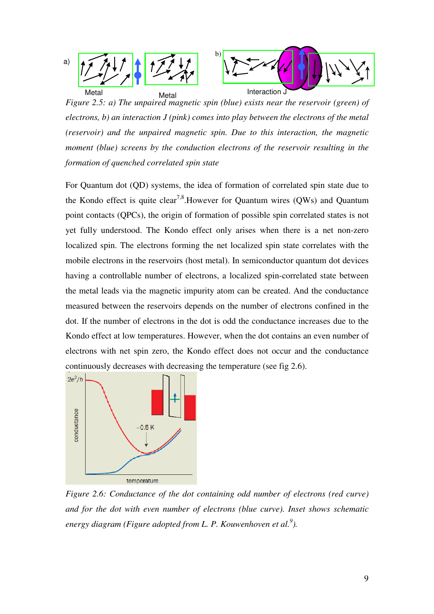

*Figure 2.5: a) The unpaired magnetic spin (blue) exists near the reservoir (green) of electrons, b) an interaction J (pink) comes into play between the electrons of the metal (reservoir) and the unpaired magnetic spin. Due to this interaction, the magnetic moment (blue) screens by the conduction electrons of the reservoir resulting in the formation of quenched correlated spin state* 

For Quantum dot (QD) systems, the idea of formation of correlated spin state due to the Kondo effect is quite clear<sup>7,8</sup>. However for Ouantum wires (OWs) and Ouantum point contacts (QPCs), the origin of formation of possible spin correlated states is not yet fully understood. The Kondo effect only arises when there is a net non-zero localized spin. The electrons forming the net localized spin state correlates with the mobile electrons in the reservoirs (host metal). In semiconductor quantum dot devices having a controllable number of electrons, a localized spin-correlated state between the metal leads via the magnetic impurity atom can be created. And the conductance measured between the reservoirs depends on the number of electrons confined in the dot. If the number of electrons in the dot is odd the conductance increases due to the Kondo effect at low temperatures. However, when the dot contains an even number of electrons with net spin zero, the Kondo effect does not occur and the conductance continuously decreases with decreasing the temperature (see fig 2.6).



*Figure 2.6: Conductance of the dot containing odd number of electrons (red curve) and for the dot with even number of electrons (blue curve). Inset shows schematic energy diagram (Figure adopted from L. P. Kouwenhoven et al.<sup>9</sup> ).*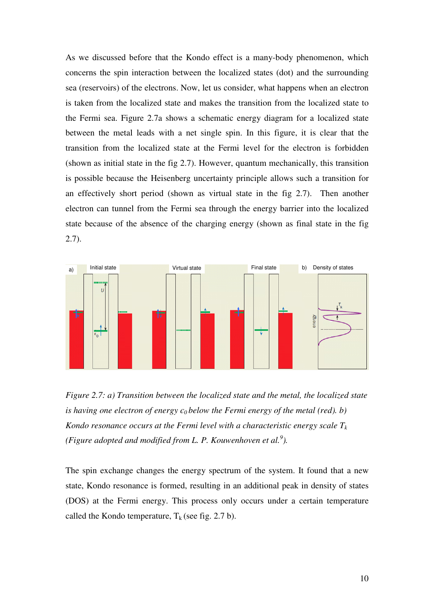As we discussed before that the Kondo effect is a many-body phenomenon, which concerns the spin interaction between the localized states (dot) and the surrounding sea (reservoirs) of the electrons. Now, let us consider, what happens when an electron is taken from the localized state and makes the transition from the localized state to the Fermi sea. Figure 2.7a shows a schematic energy diagram for a localized state between the metal leads with a net single spin. In this figure, it is clear that the transition from the localized state at the Fermi level for the electron is forbidden (shown as initial state in the fig 2.7). However, quantum mechanically, this transition is possible because the Heisenberg uncertainty principle allows such a transition for an effectively short period (shown as virtual state in the fig 2.7). Then another electron can tunnel from the Fermi sea through the energy barrier into the localized state because of the absence of the charging energy (shown as final state in the fig 2.7).



*Figure 2.7: a) Transition between the localized state and the metal, the localized state is having one electron of energy*  $\epsilon_0$  *below the Fermi energy of the metal (red). b) Kondo resonance occurs at the Fermi level with a characteristic energy scale*  $T_k$ *(Figure adopted and modified from L. P. Kouwenhoven et al.<sup>9</sup> ).* 

The spin exchange changes the energy spectrum of the system. It found that a new state, Kondo resonance is formed, resulting in an additional peak in density of states (DOS) at the Fermi energy. This process only occurs under a certain temperature called the Kondo temperature,  $T_k$  (see fig. 2.7 b).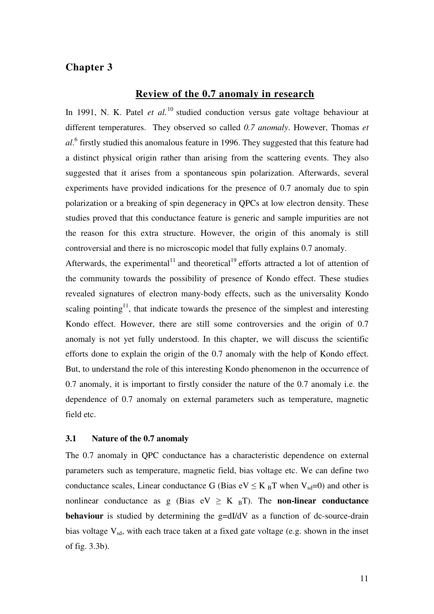#### **Review of the 0.7 anomaly in research**

In 1991, N. K. Patel *et al.*<sup>10</sup> studied conduction versus gate voltage behaviour at different temperatures. They observed so called *0.7 anomaly*. However, Thomas *et al*. 6 firstly studied this anomalous feature in 1996. They suggested that this feature had a distinct physical origin rather than arising from the scattering events. They also suggested that it arises from a spontaneous spin polarization. Afterwards, several experiments have provided indications for the presence of 0.7 anomaly due to spin polarization or a breaking of spin degeneracy in QPCs at low electron density. These studies proved that this conductance feature is generic and sample impurities are not the reason for this extra structure. However, the origin of this anomaly is still controversial and there is no microscopic model that fully explains 0.7 anomaly.

Afterwards, the experimental<sup>11</sup> and theoretical<sup>19</sup> efforts attracted a lot of attention of the community towards the possibility of presence of Kondo effect. These studies revealed signatures of electron many-body effects, such as the universality Kondo scaling pointing<sup>11</sup>, that indicate towards the presence of the simplest and interesting Kondo effect. However, there are still some controversies and the origin of 0.7 anomaly is not yet fully understood. In this chapter, we will discuss the scientific efforts done to explain the origin of the 0.7 anomaly with the help of Kondo effect. But, to understand the role of this interesting Kondo phenomenon in the occurrence of 0.7 anomaly, it is important to firstly consider the nature of the 0.7 anomaly i.e. the dependence of 0.7 anomaly on external parameters such as temperature, magnetic field etc.

#### **3.1 Nature of the 0.7 anomaly**

The 0.7 anomaly in QPC conductance has a characteristic dependence on external parameters such as temperature, magnetic field, bias voltage etc. We can define two conductance scales, Linear conductance G (Bias  $eV \leq K_B T$  when  $V_{sd}=0$ ) and other is nonlinear conductance as g (Bias  $eV \geq K_B T$ ). The **non-linear conductance behaviour** is studied by determining the g=dI/dV as a function of dc-source-drain bias voltage  $V_{sd}$ , with each trace taken at a fixed gate voltage (e.g. shown in the inset of fig. 3.3b).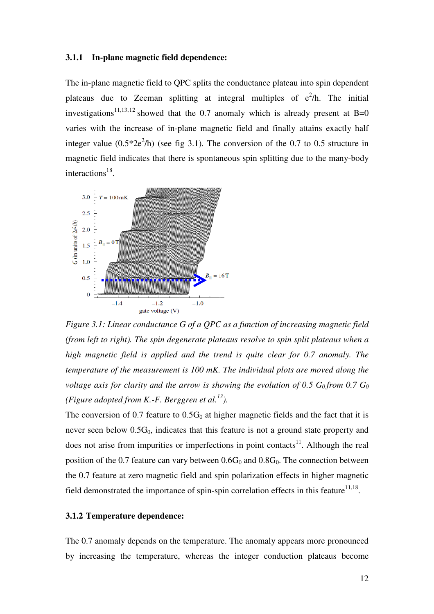#### **3.1.1 In-plane magnetic field dependence:**

The in-plane magnetic field to QPC splits the conductance plateau into spin dependent plateaus due to Zeeman splitting at integral multiples of  $e^2/h$ . The initial investigations<sup>11,13,12</sup> showed that the 0.7 anomaly which is already present at B=0 varies with the increase of in-plane magnetic field and finally attains exactly half integer value  $(0.5^*2e^2/h)$  (see fig 3.1). The conversion of the 0.7 to 0.5 structure in magnetic field indicates that there is spontaneous spin splitting due to the many-body interactions<sup>18</sup>.



*Figure 3.1: Linear conductance G of a QPC as a function of increasing magnetic field (from left to right). The spin degenerate plateaus resolve to spin split plateaus when a high magnetic field is applied and the trend is quite clear for 0.7 anomaly. The temperature of the measurement is 100 mK. The individual plots are moved along the voltage axis for clarity and the arrow is showing the evolution of 0.5*  $G_0$  *from 0.7*  $G_0$ *(Figure adopted from K.-F. Berggren et al.<sup>13</sup>).* 

The conversion of 0.7 feature to  $0.5G_0$  at higher magnetic fields and the fact that it is never seen below  $0.5G_0$ , indicates that this feature is not a ground state property and does not arise from impurities or imperfections in point contacts $11$ . Although the real position of the 0.7 feature can vary between  $0.6G_0$  and  $0.8G_0$ . The connection between the 0.7 feature at zero magnetic field and spin polarization effects in higher magnetic field demonstrated the importance of spin-spin correlation effects in this feature  $11,18$ .

#### **3.1.2 Temperature dependence:**

The 0.7 anomaly depends on the temperature. The anomaly appears more pronounced by increasing the temperature, whereas the integer conduction plateaus become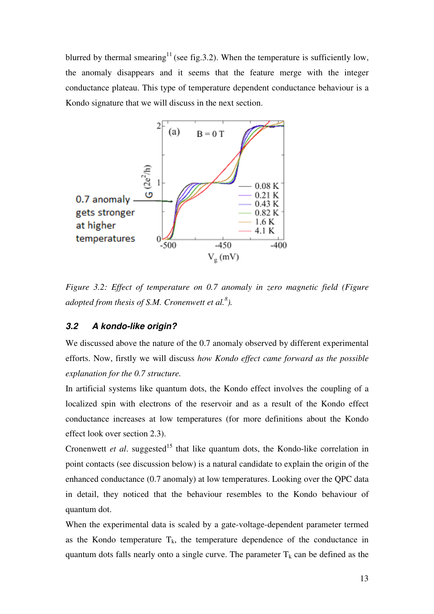blurred by thermal smearing<sup>11</sup> (see fig.3.2). When the temperature is sufficiently low, the anomaly disappears and it seems that the feature merge with the integer conductance plateau. This type of temperature dependent conductance behaviour is a Kondo signature that we will discuss in the next section.



*Figure 3.2: Effect of temperature on 0.7 anomaly in zero magnetic field (Figure adopted from thesis of S.M. Cronenwett et al.<sup>8</sup> ).* 

#### **3.2 A kondo-like origin?**

We discussed above the nature of the 0.7 anomaly observed by different experimental efforts. Now, firstly we will discuss *how Kondo effect came forward as the possible explanation for the 0.7 structure.*

In artificial systems like quantum dots, the Kondo effect involves the coupling of a localized spin with electrons of the reservoir and as a result of the Kondo effect conductance increases at low temperatures (for more definitions about the Kondo effect look over section 2.3).

Cronenwett *et al.* suggested<sup>15</sup> that like quantum dots, the Kondo-like correlation in point contacts (see discussion below) is a natural candidate to explain the origin of the enhanced conductance (0.7 anomaly) at low temperatures. Looking over the QPC data in detail, they noticed that the behaviour resembles to the Kondo behaviour of quantum dot.

When the experimental data is scaled by a gate-voltage-dependent parameter termed as the Kondo temperature  $T_k$ , the temperature dependence of the conductance in quantum dots falls nearly onto a single curve. The parameter  $T_k$  can be defined as the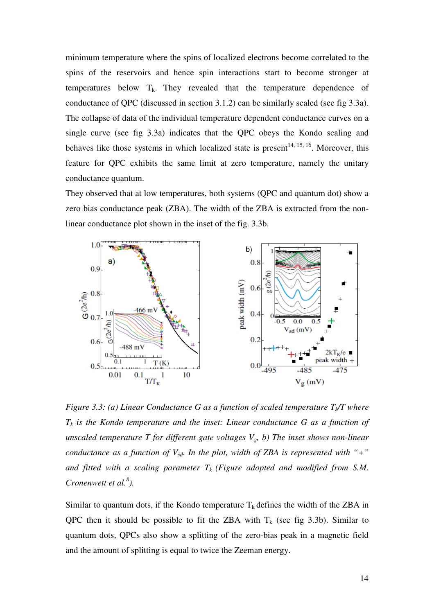minimum temperature where the spins of localized electrons become correlated to the spins of the reservoirs and hence spin interactions start to become stronger at temperatures below  $T_k$ . They revealed that the temperature dependence of conductance of QPC (discussed in section 3.1.2) can be similarly scaled (see fig 3.3a). The collapse of data of the individual temperature dependent conductance curves on a single curve (see fig 3.3a) indicates that the QPC obeys the Kondo scaling and behaves like those systems in which localized state is present<sup>14, 15, 16</sup>. Moreover, this feature for QPC exhibits the same limit at zero temperature, namely the unitary conductance quantum.

They observed that at low temperatures, both systems (QPC and quantum dot) show a zero bias conductance peak (ZBA). The width of the ZBA is extracted from the nonlinear conductance plot shown in the inset of the fig. 3.3b.



*Figure 3.3: (a) Linear Conductance G as a function of scaled temperature Tk/T where*   $T_k$  *is the Kondo temperature and the inset: Linear conductance G as a function of unscaled temperature T for different gate voltages Vg, b) The inset shows non-linear conductance as a function of Vsd. In the plot, width of ZBA is represented with "+"* and fitted with a scaling parameter  $T_k$  (Figure adopted and modified from S.M. *Cronenwett et al.<sup>8</sup> ).* 

Similar to quantum dots, if the Kondo temperature  $T_k$  defines the width of the ZBA in QPC then it should be possible to fit the ZBA with  $T_k$  (see fig 3.3b). Similar to quantum dots, QPCs also show a splitting of the zero-bias peak in a magnetic field and the amount of splitting is equal to twice the Zeeman energy.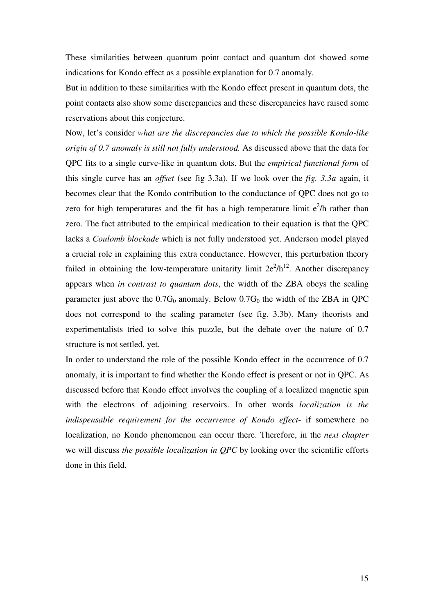These similarities between quantum point contact and quantum dot showed some indications for Kondo effect as a possible explanation for 0.7 anomaly.

But in addition to these similarities with the Kondo effect present in quantum dots, the point contacts also show some discrepancies and these discrepancies have raised some reservations about this conjecture.

Now, let's consider *what are the discrepancies due to which the possible Kondo-like origin of 0.7 anomaly is still not fully understood.* As discussed above that the data for QPC fits to a single curve-like in quantum dots. But the *empirical functional form* of this single curve has an *offset* (see fig 3.3a). If we look over the *fig. 3.3a* again, it becomes clear that the Kondo contribution to the conductance of QPC does not go to zero for high temperatures and the fit has a high temperature limit  $e^2/h$  rather than zero. The fact attributed to the empirical medication to their equation is that the QPC lacks a *Coulomb blockade* which is not fully understood yet. Anderson model played a crucial role in explaining this extra conductance. However, this perturbation theory failed in obtaining the low-temperature unitarity limit  $2e^2/h^{12}$ . Another discrepancy appears when *in contrast to quantum dots*, the width of the ZBA obeys the scaling parameter just above the  $0.7G_0$  anomaly. Below  $0.7G_0$  the width of the ZBA in QPC does not correspond to the scaling parameter (see fig. 3.3b). Many theorists and experimentalists tried to solve this puzzle, but the debate over the nature of 0.7 structure is not settled, yet.

In order to understand the role of the possible Kondo effect in the occurrence of 0.7 anomaly, it is important to find whether the Kondo effect is present or not in QPC. As discussed before that Kondo effect involves the coupling of a localized magnetic spin with the electrons of adjoining reservoirs. In other words *localization is the indispensable requirement for the occurrence of Kondo effect*- if somewhere no localization, no Kondo phenomenon can occur there. Therefore, in the *next chapter* we will discuss *the possible localization in QPC* by looking over the scientific efforts done in this field.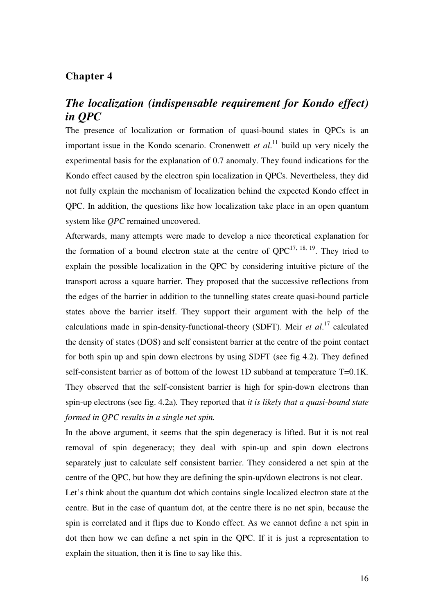# *The localization (indispensable requirement for Kondo effect) in QPC*

The presence of localization or formation of quasi-bound states in QPCs is an important issue in the Kondo scenario. Cronenwett *et al*. <sup>11</sup> build up very nicely the experimental basis for the explanation of 0.7 anomaly. They found indications for the Kondo effect caused by the electron spin localization in QPCs. Nevertheless, they did not fully explain the mechanism of localization behind the expected Kondo effect in QPC. In addition, the questions like how localization take place in an open quantum system like *QPC* remained uncovered.

Afterwards, many attempts were made to develop a nice theoretical explanation for the formation of a bound electron state at the centre of  $OPC^{17, 18, 19}$ . They tried to explain the possible localization in the QPC by considering intuitive picture of the transport across a square barrier. They proposed that the successive reflections from the edges of the barrier in addition to the tunnelling states create quasi-bound particle states above the barrier itself. They support their argument with the help of the calculations made in spin-density-functional-theory (SDFT). Meir *et al*. <sup>17</sup> calculated the density of states (DOS) and self consistent barrier at the centre of the point contact for both spin up and spin down electrons by using SDFT (see fig 4.2). They defined self-consistent barrier as of bottom of the lowest 1D subband at temperature T=0.1K*.*  They observed that the self-consistent barrier is high for spin-down electrons than spin-up electrons (see fig. 4.2a)*.* They reported that *it is likely that a quasi-bound state formed in QPC results in a single net spin.* 

In the above argument, it seems that the spin degeneracy is lifted. But it is not real removal of spin degeneracy; they deal with spin-up and spin down electrons separately just to calculate self consistent barrier. They considered a net spin at the centre of the QPC, but how they are defining the spin-up/down electrons is not clear.

Let's think about the quantum dot which contains single localized electron state at the centre. But in the case of quantum dot, at the centre there is no net spin, because the spin is correlated and it flips due to Kondo effect. As we cannot define a net spin in dot then how we can define a net spin in the QPC. If it is just a representation to explain the situation, then it is fine to say like this.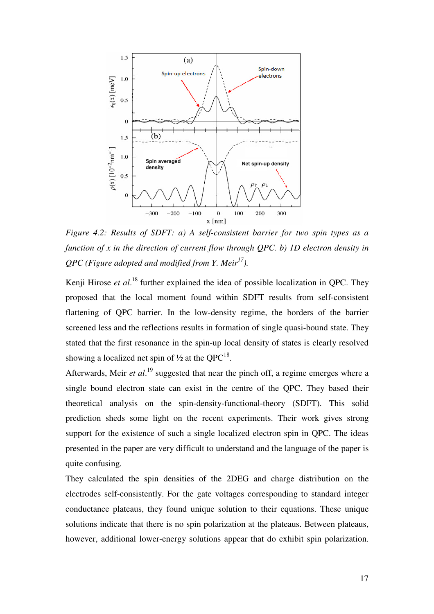

*Figure 4.2: Results of SDFT: a) A self-consistent barrier for two spin types as a function of x in the direction of current flow through QPC. b) 1D electron density in QPC (Figure adopted and modified from Y. Meir<sup>17</sup>).* 

Kenji Hirose et al.<sup>18</sup> further explained the idea of possible localization in QPC. They proposed that the local moment found within SDFT results from self-consistent flattening of QPC barrier. In the low-density regime, the borders of the barrier screened less and the reflections results in formation of single quasi-bound state. They stated that the first resonance in the spin-up local density of states is clearly resolved showing a localized net spin of  $\frac{1}{2}$  at the QPC<sup>18</sup>.

Afterwards, Meir *et al.*<sup>19</sup> suggested that near the pinch off, a regime emerges where a single bound electron state can exist in the centre of the QPC. They based their theoretical analysis on the spin-density-functional-theory (SDFT). This solid prediction sheds some light on the recent experiments. Their work gives strong support for the existence of such a single localized electron spin in QPC. The ideas presented in the paper are very difficult to understand and the language of the paper is quite confusing.

They calculated the spin densities of the 2DEG and charge distribution on the electrodes self-consistently. For the gate voltages corresponding to standard integer conductance plateaus, they found unique solution to their equations. These unique solutions indicate that there is no spin polarization at the plateaus. Between plateaus, however, additional lower-energy solutions appear that do exhibit spin polarization.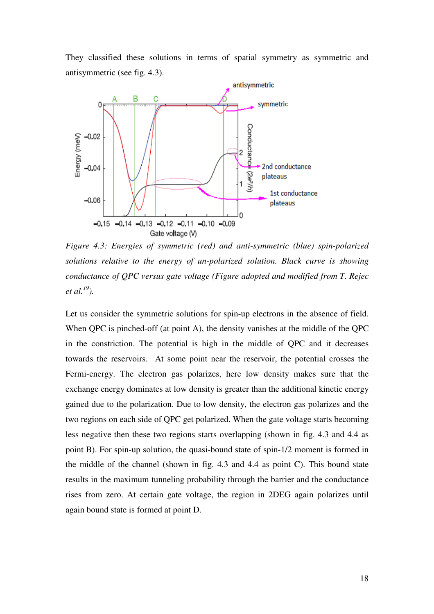They classified these solutions in terms of spatial symmetry as symmetric and antisymmetric (see fig. 4.3).



*Figure 4.3: Energies of symmetric (red) and anti-symmetric (blue) spin-polarized solutions relative to the energy of un-polarized solution. Black curve is showing conductance of QPC versus gate voltage (Figure adopted and modified from T. Rejec et al.<sup>19</sup>).* 

Let us consider the symmetric solutions for spin-up electrons in the absence of field. When QPC is pinched-off (at point A), the density vanishes at the middle of the QPC in the constriction. The potential is high in the middle of QPC and it decreases towards the reservoirs. At some point near the reservoir, the potential crosses the Fermi-energy. The electron gas polarizes, here low density makes sure that the exchange energy dominates at low density is greater than the additional kinetic energy gained due to the polarization. Due to low density, the electron gas polarizes and the two regions on each side of QPC get polarized. When the gate voltage starts becoming less negative then these two regions starts overlapping (shown in fig. 4.3 and 4.4 as point B). For spin-up solution, the quasi-bound state of spin-1/2 moment is formed in the middle of the channel (shown in fig. 4.3 and 4.4 as point C). This bound state results in the maximum tunneling probability through the barrier and the conductance rises from zero. At certain gate voltage, the region in 2DEG again polarizes until again bound state is formed at point D.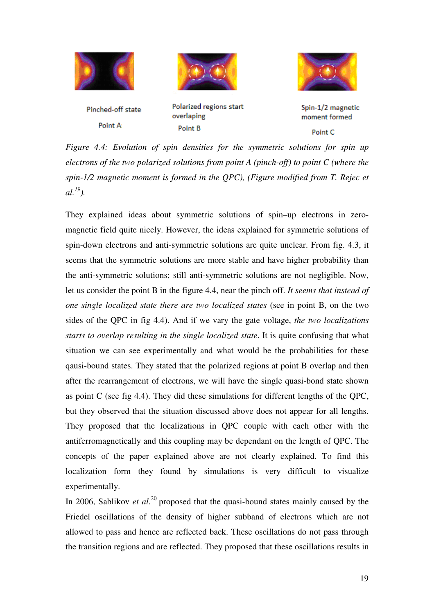





Pinched-off state Point A:

Polarized regions start overlaping Point B

Spin-1/2 magnetic moment formed

#### Point C

*Figure 4.4: Evolution of spin densities for the symmetric solutions for spin up electrons of the two polarized solutions from point A (pinch-off) to point C (where the spin-1/2 magnetic moment is formed in the QPC), (Figure modified from T. Rejec et*   $al.^{19}$ .

They explained ideas about symmetric solutions of spin–up electrons in zeromagnetic field quite nicely. However, the ideas explained for symmetric solutions of spin-down electrons and anti-symmetric solutions are quite unclear. From fig. 4.3, it seems that the symmetric solutions are more stable and have higher probability than the anti-symmetric solutions; still anti-symmetric solutions are not negligible. Now, let us consider the point B in the figure 4.4, near the pinch off. *It seems that instead of one single localized state there are two localized states* (see in point B, on the two sides of the QPC in fig 4.4). And if we vary the gate voltage, *the two localizations starts to overlap resulting in the single localized state*. It is quite confusing that what situation we can see experimentally and what would be the probabilities for these qausi-bound states. They stated that the polarized regions at point B overlap and then after the rearrangement of electrons, we will have the single quasi-bond state shown as point C (see fig 4.4). They did these simulations for different lengths of the QPC, but they observed that the situation discussed above does not appear for all lengths. They proposed that the localizations in QPC couple with each other with the antiferromagnetically and this coupling may be dependant on the length of QPC. The concepts of the paper explained above are not clearly explained. To find this localization form they found by simulations is very difficult to visualize experimentally.

In 2006, Sablikov *et al.*<sup>20</sup> proposed that the quasi-bound states mainly caused by the Friedel oscillations of the density of higher subband of electrons which are not allowed to pass and hence are reflected back. These oscillations do not pass through the transition regions and are reflected. They proposed that these oscillations results in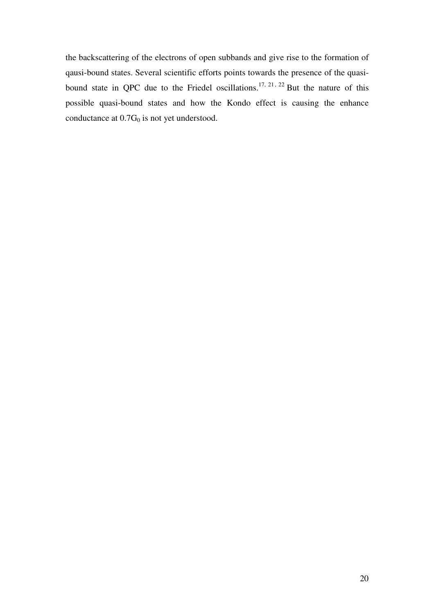the backscattering of the electrons of open subbands and give rise to the formation of qausi-bound states. Several scientific efforts points towards the presence of the quasibound state in QPC due to the Friedel oscillations.<sup>17, 21, 22</sup> But the nature of this possible quasi-bound states and how the Kondo effect is causing the enhance conductance at  $0.7G_0$  is not yet understood.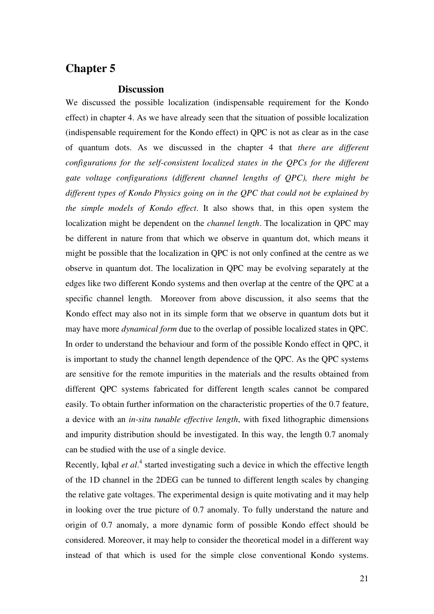#### **Discussion**

We discussed the possible localization (indispensable requirement for the Kondo effect) in chapter 4. As we have already seen that the situation of possible localization (indispensable requirement for the Kondo effect) in QPC is not as clear as in the case of quantum dots. As we discussed in the chapter 4 that *there are different configurations for the self-consistent localized states in the QPCs for the different gate voltage configurations (different channel lengths of QPC), there might be different types of Kondo Physics going on in the QPC that could not be explained by the simple models of Kondo effect*. It also shows that, in this open system the localization might be dependent on the *channel length*. The localization in QPC may be different in nature from that which we observe in quantum dot, which means it might be possible that the localization in QPC is not only confined at the centre as we observe in quantum dot. The localization in QPC may be evolving separately at the edges like two different Kondo systems and then overlap at the centre of the QPC at a specific channel length. Moreover from above discussion, it also seems that the Kondo effect may also not in its simple form that we observe in quantum dots but it may have more *dynamical form* due to the overlap of possible localized states in QPC. In order to understand the behaviour and form of the possible Kondo effect in QPC, it is important to study the channel length dependence of the QPC. As the QPC systems are sensitive for the remote impurities in the materials and the results obtained from different QPC systems fabricated for different length scales cannot be compared easily. To obtain further information on the characteristic properties of the 0.7 feature, a device with an *in-situ tunable effective length*, with fixed lithographic dimensions and impurity distribution should be investigated. In this way, the length 0.7 anomaly can be studied with the use of a single device.

Recently, Iqbal et al.<sup>4</sup> started investigating such a device in which the effective length of the 1D channel in the 2DEG can be tunned to different length scales by changing the relative gate voltages. The experimental design is quite motivating and it may help in looking over the true picture of 0.7 anomaly. To fully understand the nature and origin of 0.7 anomaly, a more dynamic form of possible Kondo effect should be considered. Moreover, it may help to consider the theoretical model in a different way instead of that which is used for the simple close conventional Kondo systems.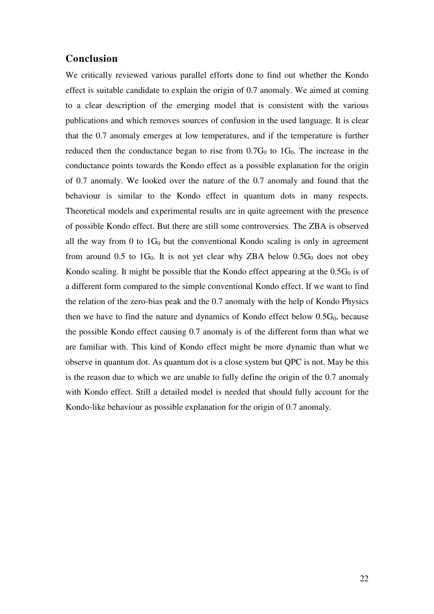#### **Conclusion**

We critically reviewed various parallel efforts done to find out whether the Kondo effect is suitable candidate to explain the origin of 0.7 anomaly. We aimed at coming to a clear description of the emerging model that is consistent with the various publications and which removes sources of confusion in the used language. It is clear that the 0.7 anomaly emerges at low temperatures, and if the temperature is further reduced then the conductance began to rise from  $0.7G<sub>0</sub>$  to  $1G<sub>0</sub>$ . The increase in the conductance points towards the Kondo effect as a possible explanation for the origin of 0.7 anomaly. We looked over the nature of the 0.7 anomaly and found that the behaviour is similar to the Kondo effect in quantum dots in many respects. Theoretical models and experimental results are in quite agreement with the presence of possible Kondo effect. But there are still some controversies. The ZBA is observed all the way from 0 to  $1G_0$  but the conventional Kondo scaling is only in agreement from around 0.5 to  $1G_0$ . It is not yet clear why ZBA below 0.5 $G_0$  does not obey Kondo scaling. It might be possible that the Kondo effect appearing at the  $0.5G<sub>0</sub>$  is of a different form compared to the simple conventional Kondo effect. If we want to find the relation of the zero-bias peak and the 0.7 anomaly with the help of Kondo Physics then we have to find the nature and dynamics of Kondo effect below  $0.5G_0$ , because the possible Kondo effect causing 0.7 anomaly is of the different form than what we are familiar with. This kind of Kondo effect might be more dynamic than what we observe in quantum dot. As quantum dot is a close system but QPC is not. May be this is the reason due to which we are unable to fully define the origin of the 0.7 anomaly with Kondo effect. Still a detailed model is needed that should fully account for the Kondo-like behaviour as possible explanation for the origin of 0.7 anomaly.